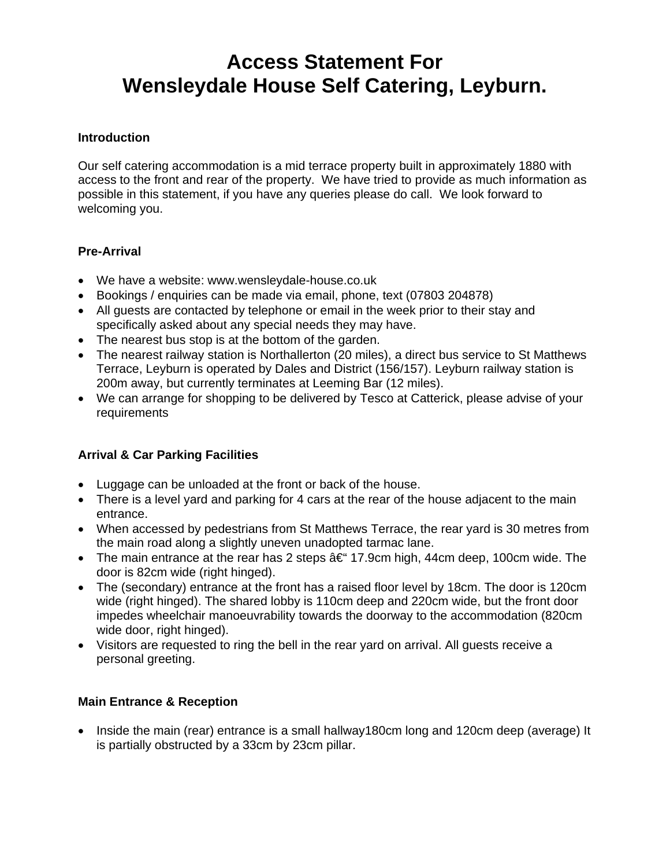# **Access Statement For Wensleydale House Self Catering, Leyburn.**

#### **Introduction**

Our self catering accommodation is a mid terrace property built in approximately 1880 with access to the front and rear of the property. We have tried to provide as much information as possible in this statement, if you have any queries please do call. We look forward to welcoming you.

# **Pre-Arrival**

- We have a website: www.wensleydale-house.co.uk
- Bookings / enquiries can be made via email, phone, text (07803 204878)
- All guests are contacted by telephone or email in the week prior to their stay and specifically asked about any special needs they may have.
- The nearest bus stop is at the bottom of the garden.
- The nearest railway station is Northallerton (20 miles), a direct bus service to St Matthews Terrace, Leyburn is operated by Dales and District (156/157). Leyburn railway station is 200m away, but currently terminates at Leeming Bar (12 miles).
- We can arrange for shopping to be delivered by Tesco at Catterick, please advise of your requirements

# **Arrival & Car Parking Facilities**

- Luggage can be unloaded at the front or back of the house.
- There is a level yard and parking for 4 cars at the rear of the house adjacent to the main entrance.
- When accessed by pedestrians from St Matthews Terrace, the rear yard is 30 metres from the main road along a slightly uneven unadopted tarmac lane.
- The main entrance at the rear has 2 steps  $\hat{a} \in \{17.9cm\}$  high, 44cm deep, 100cm wide. The door is 82cm wide (right hinged).
- The (secondary) entrance at the front has a raised floor level by 18cm. The door is 120cm wide (right hinged). The shared lobby is 110cm deep and 220cm wide, but the front door impedes wheelchair manoeuvrability towards the doorway to the accommodation (820cm wide door, right hinged).
- Visitors are requested to ring the bell in the rear yard on arrival. All guests receive a personal greeting.

# **Main Entrance & Reception**

• Inside the main (rear) entrance is a small hallway180cm long and 120cm deep (average) It is partially obstructed by a 33cm by 23cm pillar.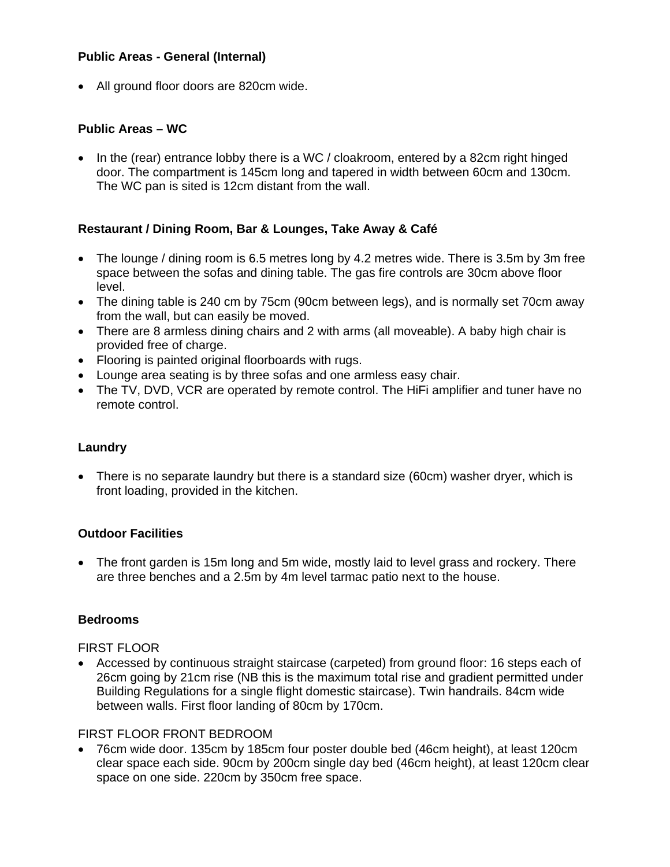#### **Public Areas - General (Internal)**

• All ground floor doors are 820cm wide.

#### **Public Areas – WC**

• In the (rear) entrance lobby there is a WC / cloakroom, entered by a 82cm right hinged door. The compartment is 145cm long and tapered in width between 60cm and 130cm. The WC pan is sited is 12cm distant from the wall.

# **Restaurant / Dining Room, Bar & Lounges, Take Away & Café**

- The lounge / dining room is 6.5 metres long by 4.2 metres wide. There is 3.5m by 3m free space between the sofas and dining table. The gas fire controls are 30cm above floor level.
- The dining table is 240 cm by 75cm (90cm between legs), and is normally set 70cm away from the wall, but can easily be moved.
- There are 8 armless dining chairs and 2 with arms (all moveable). A baby high chair is provided free of charge.
- Flooring is painted original floorboards with rugs.
- Lounge area seating is by three sofas and one armless easy chair.
- The TV, DVD, VCR are operated by remote control. The HiFi amplifier and tuner have no remote control.

#### **Laundry**

• There is no separate laundry but there is a standard size (60cm) washer dryer, which is front loading, provided in the kitchen.

#### **Outdoor Facilities**

• The front garden is 15m long and 5m wide, mostly laid to level grass and rockery. There are three benches and a 2.5m by 4m level tarmac patio next to the house.

#### **Bedrooms**

#### FIRST FLOOR

• Accessed by continuous straight staircase (carpeted) from ground floor: 16 steps each of 26cm going by 21cm rise (NB this is the maximum total rise and gradient permitted under Building Regulations for a single flight domestic staircase). Twin handrails. 84cm wide between walls. First floor landing of 80cm by 170cm.

#### FIRST FLOOR FRONT BEDROOM

• 76cm wide door. 135cm by 185cm four poster double bed (46cm height), at least 120cm clear space each side. 90cm by 200cm single day bed (46cm height), at least 120cm clear space on one side. 220cm by 350cm free space.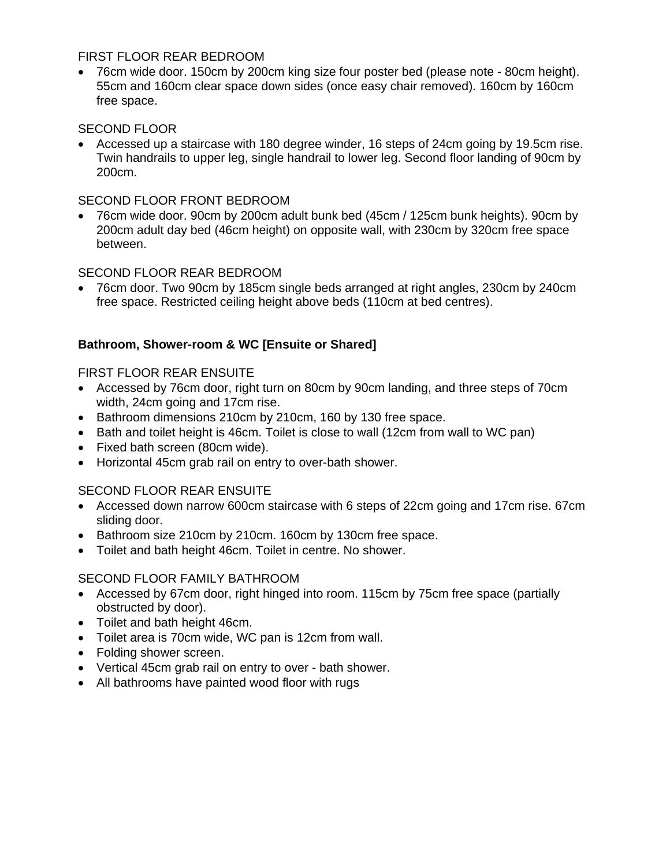#### FIRST FLOOR REAR BEDROOM

• 76cm wide door. 150cm by 200cm king size four poster bed (please note - 80cm height). 55cm and 160cm clear space down sides (once easy chair removed). 160cm by 160cm free space.

#### SECOND FLOOR

• Accessed up a staircase with 180 degree winder, 16 steps of 24cm going by 19.5cm rise. Twin handrails to upper leg, single handrail to lower leg. Second floor landing of 90cm by 200cm.

#### SECOND FLOOR FRONT BEDROOM

• 76cm wide door. 90cm by 200cm adult bunk bed (45cm / 125cm bunk heights). 90cm by 200cm adult day bed (46cm height) on opposite wall, with 230cm by 320cm free space between.

#### SECOND FLOOR REAR BEDROOM

• 76cm door. Two 90cm by 185cm single beds arranged at right angles, 230cm by 240cm free space. Restricted ceiling height above beds (110cm at bed centres).

# **Bathroom, Shower-room & WC [Ensuite or Shared]**

#### FIRST FLOOR REAR ENSUITE

- Accessed by 76cm door, right turn on 80cm by 90cm landing, and three steps of 70cm width, 24cm going and 17cm rise.
- Bathroom dimensions 210cm by 210cm, 160 by 130 free space.
- Bath and toilet height is 46cm. Toilet is close to wall (12cm from wall to WC pan)
- Fixed bath screen (80cm wide).
- Horizontal 45cm grab rail on entry to over-bath shower.

# SECOND FLOOR REAR ENSUITE

- Accessed down narrow 600cm staircase with 6 steps of 22cm going and 17cm rise. 67cm sliding door.
- Bathroom size 210cm by 210cm. 160cm by 130cm free space.
- Toilet and bath height 46cm. Toilet in centre. No shower.

#### SECOND FLOOR FAMILY BATHROOM

- Accessed by 67cm door, right hinged into room. 115cm by 75cm free space (partially obstructed by door).
- Toilet and bath height 46cm.
- Toilet area is 70cm wide, WC pan is 12cm from wall.
- Folding shower screen.
- Vertical 45cm grab rail on entry to over bath shower.
- All bathrooms have painted wood floor with rugs